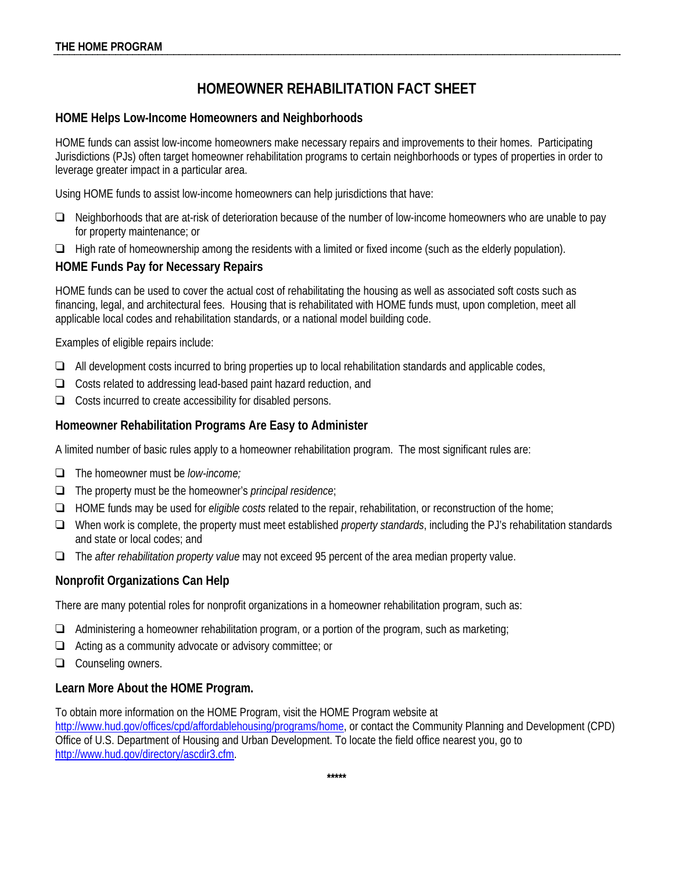# **HOMEOWNER REHABILITATION FACT SHEET**

### **HOME Helps Low-Income Homeowners and Neighborhoods**

HOME funds can assist low-income homeowners make necessary repairs and improvements to their homes. Participating Jurisdictions (PJs) often target homeowner rehabilitation programs to certain neighborhoods or types of properties in order to leverage greater impact in a particular area.

Using HOME funds to assist low-income homeowners can help jurisdictions that have:

- ❑ Neighborhoods that are at-risk of deterioration because of the number of low-income homeowners who are unable to pay for property maintenance; or
- ❑ High rate of homeownership among the residents with a limited or fixed income (such as the elderly population).

# **HOME Funds Pay for Necessary Repairs**

HOME funds can be used to cover the actual cost of rehabilitating the housing as well as associated soft costs such as financing, legal, and architectural fees. Housing that is rehabilitated with HOME funds must, upon completion, meet all applicable local codes and rehabilitation standards, or a national model building code.

Examples of eligible repairs include:

- ❑ All development costs incurred to bring properties up to local rehabilitation standards and applicable codes,
- ❑ Costs related to addressing lead-based paint hazard reduction, and
- ❑ Costs incurred to create accessibility for disabled persons.

### **Homeowner Rehabilitation Programs Are Easy to Administer**

A limited number of basic rules apply to a homeowner rehabilitation program. The most significant rules are:

- ❑ The homeowner must be *low-income;*
- ❑ The property must be the homeowner's *principal residence*;
- ❑ HOME funds may be used for *eligible costs* related to the repair, rehabilitation, or reconstruction of the home;
- ❑ When work is complete, the property must meet established *property standards*, including the PJ's rehabilitation standards and state or local codes; and
- ❑ The *after rehabilitation property value* may not exceed 95 percent of the area median property value.

#### **Nonprofit Organizations Can Help**

There are many potential roles for nonprofit organizations in a homeowner rehabilitation program, such as:

- ❑ Administering a homeowner rehabilitation program, or a portion of the program, such as marketing;
- ❑ Acting as a community advocate or advisory committee; or
- ❑ Counseling owners.

#### **Learn More About the HOME Program.**

To obtain more information on the HOME Program, visit the HOME Program website at

[http://www.hud.gov/offices/cpd/affordablehousing/programs/home,](http://www.hud.gov/offices/cpd/affordablehousing/programs/home) or contact the Community Planning and Development (CPD) Office of U.S. Department of Housing and Urban Development. To locate the field office nearest you, go to [http://www.hud.gov/directory/ascdir3.cfm.](http://www.hud.gov/directory/ascdir3.cfm)